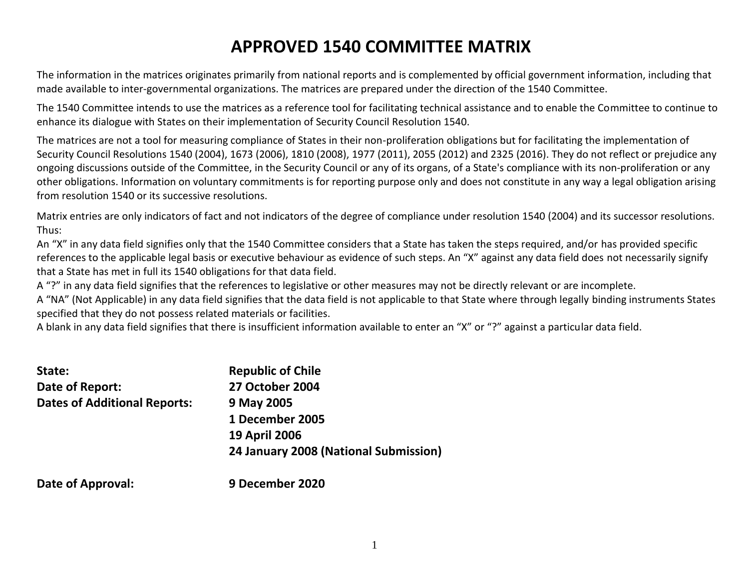# **APPROVED 1540 COMMITTEE MATRIX**

The information in the matrices originates primarily from national reports and is complemented by official government information, including that made available to inter-governmental organizations. The matrices are prepared under the direction of the 1540 Committee.

The 1540 Committee intends to use the matrices as a reference tool for facilitating technical assistance and to enable the Committee to continue to enhance its dialogue with States on their implementation of Security Council Resolution 1540.

The matrices are not a tool for measuring compliance of States in their non-proliferation obligations but for facilitating the implementation of Security Council Resolutions 1540 (2004), 1673 (2006), 1810 (2008), 1977 (2011), 2055 (2012) and 2325 (2016). They do not reflect or prejudice any ongoing discussions outside of the Committee, in the Security Council or any of its organs, of a State's compliance with its non-proliferation or any other obligations. Information on voluntary commitments is for reporting purpose only and does not constitute in any way a legal obligation arising from resolution 1540 or its successive resolutions.

Matrix entries are only indicators of fact and not indicators of the degree of compliance under resolution 1540 (2004) and its successor resolutions. Thus:

An "X" in any data field signifies only that the 1540 Committee considers that a State has taken the steps required, and/or has provided specific references to the applicable legal basis or executive behaviour as evidence of such steps. An "X" against any data field does not necessarily signify that a State has met in full its 1540 obligations for that data field.

A "?" in any data field signifies that the references to legislative or other measures may not be directly relevant or are incomplete.

A "NA" (Not Applicable) in any data field signifies that the data field is not applicable to that State where through legally binding instruments States specified that they do not possess related materials or facilities.

A blank in any data field signifies that there is insufficient information available to enter an "X" or "?" against a particular data field.

| State:                              | <b>Republic of Chile</b>              |
|-------------------------------------|---------------------------------------|
| Date of Report:                     | <b>27 October 2004</b>                |
| <b>Dates of Additional Reports:</b> | 9 May 2005                            |
|                                     | 1 December 2005                       |
|                                     | <b>19 April 2006</b>                  |
|                                     | 24 January 2008 (National Submission) |
| Date of Approval:                   | 9 December 2020                       |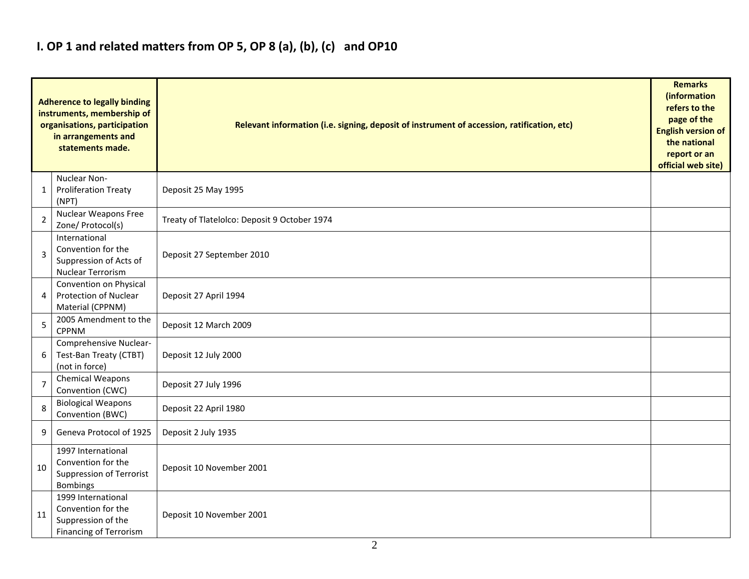### **I. OP 1 and related matters from OP 5, OP 8 (a), (b), (c) and OP10**

|                | <b>Adherence to legally binding</b><br>instruments, membership of<br>organisations, participation<br>in arrangements and<br>statements made. | Relevant information (i.e. signing, deposit of instrument of accession, ratification, etc) |  |  |  |  |  |  |  |  |
|----------------|----------------------------------------------------------------------------------------------------------------------------------------------|--------------------------------------------------------------------------------------------|--|--|--|--|--|--|--|--|
| 1              | Nuclear Non-<br><b>Proliferation Treaty</b><br>(NPT)                                                                                         | Deposit 25 May 1995                                                                        |  |  |  |  |  |  |  |  |
| 2              | <b>Nuclear Weapons Free</b><br>Zone/ Protocol(s)                                                                                             | Treaty of Tlatelolco: Deposit 9 October 1974                                               |  |  |  |  |  |  |  |  |
| 3              | International<br>Convention for the<br>Suppression of Acts of<br>Nuclear Terrorism                                                           | Deposit 27 September 2010                                                                  |  |  |  |  |  |  |  |  |
| 4              | Convention on Physical<br>Protection of Nuclear<br>Material (CPPNM)                                                                          | Deposit 27 April 1994                                                                      |  |  |  |  |  |  |  |  |
| 5              | 2005 Amendment to the<br><b>CPPNM</b>                                                                                                        | Deposit 12 March 2009                                                                      |  |  |  |  |  |  |  |  |
| 6              | Comprehensive Nuclear-<br>Test-Ban Treaty (CTBT)<br>(not in force)                                                                           | Deposit 12 July 2000                                                                       |  |  |  |  |  |  |  |  |
| $\overline{7}$ | Chemical Weapons<br>Convention (CWC)                                                                                                         | Deposit 27 July 1996                                                                       |  |  |  |  |  |  |  |  |
| 8              | <b>Biological Weapons</b><br>Convention (BWC)                                                                                                | Deposit 22 April 1980                                                                      |  |  |  |  |  |  |  |  |
| 9              | Geneva Protocol of 1925                                                                                                                      | Deposit 2 July 1935                                                                        |  |  |  |  |  |  |  |  |
| 10             | 1997 International<br>Convention for the<br>Suppression of Terrorist<br><b>Bombings</b>                                                      | Deposit 10 November 2001                                                                   |  |  |  |  |  |  |  |  |
| 11             | 1999 International<br>Convention for the<br>Suppression of the<br><b>Financing of Terrorism</b>                                              | Deposit 10 November 2001                                                                   |  |  |  |  |  |  |  |  |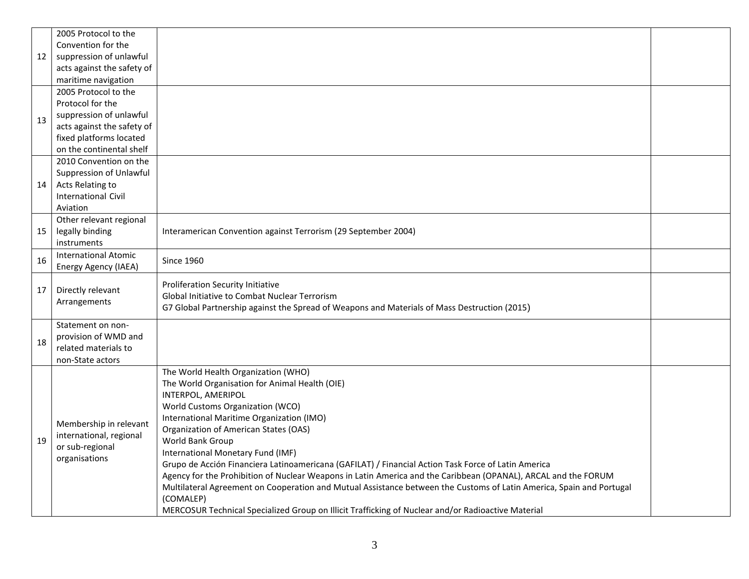|    | 2005 Protocol to the        |                                                                                                                      |  |
|----|-----------------------------|----------------------------------------------------------------------------------------------------------------------|--|
|    | Convention for the          |                                                                                                                      |  |
| 12 | suppression of unlawful     |                                                                                                                      |  |
|    | acts against the safety of  |                                                                                                                      |  |
|    | maritime navigation         |                                                                                                                      |  |
|    | 2005 Protocol to the        |                                                                                                                      |  |
|    | Protocol for the            |                                                                                                                      |  |
| 13 | suppression of unlawful     |                                                                                                                      |  |
|    | acts against the safety of  |                                                                                                                      |  |
|    | fixed platforms located     |                                                                                                                      |  |
|    | on the continental shelf    |                                                                                                                      |  |
|    | 2010 Convention on the      |                                                                                                                      |  |
|    | Suppression of Unlawful     |                                                                                                                      |  |
| 14 | Acts Relating to            |                                                                                                                      |  |
|    | <b>International Civil</b>  |                                                                                                                      |  |
|    | Aviation                    |                                                                                                                      |  |
|    | Other relevant regional     |                                                                                                                      |  |
| 15 | legally binding             | Interamerican Convention against Terrorism (29 September 2004)                                                       |  |
|    | instruments                 |                                                                                                                      |  |
| 16 | <b>International Atomic</b> | <b>Since 1960</b>                                                                                                    |  |
|    | Energy Agency (IAEA)        |                                                                                                                      |  |
|    |                             | <b>Proliferation Security Initiative</b>                                                                             |  |
| 17 | Directly relevant           | Global Initiative to Combat Nuclear Terrorism                                                                        |  |
|    | Arrangements                | G7 Global Partnership against the Spread of Weapons and Materials of Mass Destruction (2015)                         |  |
|    |                             |                                                                                                                      |  |
|    | Statement on non-           |                                                                                                                      |  |
| 18 | provision of WMD and        |                                                                                                                      |  |
|    |                             |                                                                                                                      |  |
|    | related materials to        |                                                                                                                      |  |
|    | non-State actors            |                                                                                                                      |  |
|    |                             | The World Health Organization (WHO)                                                                                  |  |
|    |                             | The World Organisation for Animal Health (OIE)                                                                       |  |
|    |                             | INTERPOL, AMERIPOL                                                                                                   |  |
|    |                             | World Customs Organization (WCO)                                                                                     |  |
|    |                             | International Maritime Organization (IMO)                                                                            |  |
|    | Membership in relevant      | Organization of American States (OAS)                                                                                |  |
| 19 | international, regional     | World Bank Group                                                                                                     |  |
|    | or sub-regional             | International Monetary Fund (IMF)                                                                                    |  |
|    | organisations               | Grupo de Acción Financiera Latinoamericana (GAFILAT) / Financial Action Task Force of Latin America                  |  |
|    |                             | Agency for the Prohibition of Nuclear Weapons in Latin America and the Caribbean (OPANAL), ARCAL and the FORUM       |  |
|    |                             | Multilateral Agreement on Cooperation and Mutual Assistance between the Customs of Latin America, Spain and Portugal |  |
|    |                             | (COMALEP)<br>MERCOSUR Technical Specialized Group on Illicit Trafficking of Nuclear and/or Radioactive Material      |  |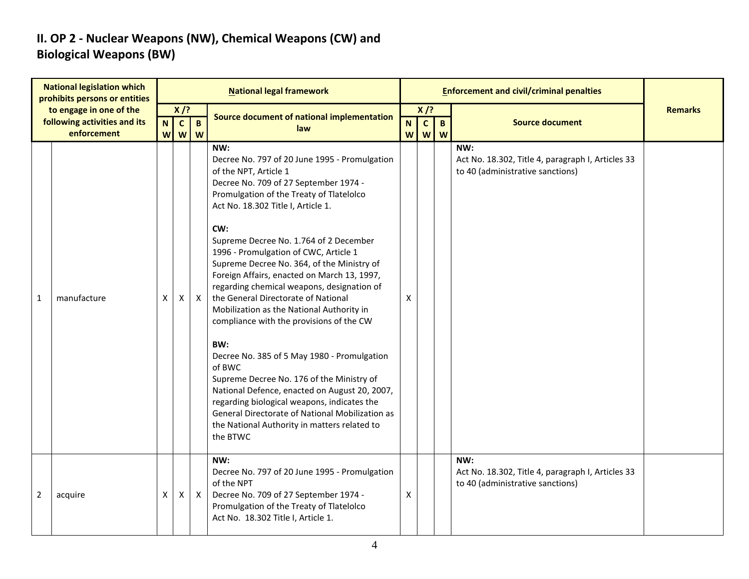#### **II. OP 2 - Nuclear Weapons (NW), Chemical Weapons (CW) and Biological Weapons (BW)**

|              | <b>National legislation which</b><br>prohibits persons or entities     | <b>National legal framework</b> |                                                     |                   |                                                                                                                                                                                                                                                                                                                                                                                                                                                                                                                                                                                                                                                                                                                                                                                                                                                                                                           |                             |                             |                     | <b>Enforcement and civil/criminal penalties</b>                                              |                |
|--------------|------------------------------------------------------------------------|---------------------------------|-----------------------------------------------------|-------------------|-----------------------------------------------------------------------------------------------------------------------------------------------------------------------------------------------------------------------------------------------------------------------------------------------------------------------------------------------------------------------------------------------------------------------------------------------------------------------------------------------------------------------------------------------------------------------------------------------------------------------------------------------------------------------------------------------------------------------------------------------------------------------------------------------------------------------------------------------------------------------------------------------------------|-----------------------------|-----------------------------|---------------------|----------------------------------------------------------------------------------------------|----------------|
|              | to engage in one of the<br>following activities and its<br>enforcement | N<br>W                          | $X$ /?<br>$\mathbf{c}$<br>$\boldsymbol{\mathsf{W}}$ | $\mathbf{B}$<br>W | Source document of national implementation<br>law                                                                                                                                                                                                                                                                                                                                                                                                                                                                                                                                                                                                                                                                                                                                                                                                                                                         | $\mathbf N$<br>$\mathsf{W}$ | $X$ /?<br>$\mathbf{c}$<br>W | $\overline{B}$<br>W | <b>Source document</b>                                                                       | <b>Remarks</b> |
| $\mathbf{1}$ | manufacture                                                            | X                               | X                                                   | $\mathsf{X}$      | NW:<br>Decree No. 797 of 20 June 1995 - Promulgation<br>of the NPT, Article 1<br>Decree No. 709 of 27 September 1974 -<br>Promulgation of the Treaty of Tlatelolco<br>Act No. 18.302 Title I, Article 1.<br>CW:<br>Supreme Decree No. 1.764 of 2 December<br>1996 - Promulgation of CWC, Article 1<br>Supreme Decree No. 364, of the Ministry of<br>Foreign Affairs, enacted on March 13, 1997,<br>regarding chemical weapons, designation of<br>the General Directorate of National<br>Mobilization as the National Authority in<br>compliance with the provisions of the CW<br>BW:<br>Decree No. 385 of 5 May 1980 - Promulgation<br>of BWC<br>Supreme Decree No. 176 of the Ministry of<br>National Defence, enacted on August 20, 2007,<br>regarding biological weapons, indicates the<br>General Directorate of National Mobilization as<br>the National Authority in matters related to<br>the BTWC | X                           |                             |                     | NW:<br>Act No. 18.302, Title 4, paragraph I, Articles 33<br>to 40 (administrative sanctions) |                |
| 2            | acquire                                                                | X                               | X                                                   | $\mathsf{X}$      | NW:<br>Decree No. 797 of 20 June 1995 - Promulgation<br>of the NPT<br>Decree No. 709 of 27 September 1974 -<br>Promulgation of the Treaty of Tlatelolco<br>Act No. 18.302 Title I, Article 1.                                                                                                                                                                                                                                                                                                                                                                                                                                                                                                                                                                                                                                                                                                             | X                           |                             |                     | NW:<br>Act No. 18.302, Title 4, paragraph I, Articles 33<br>to 40 (administrative sanctions) |                |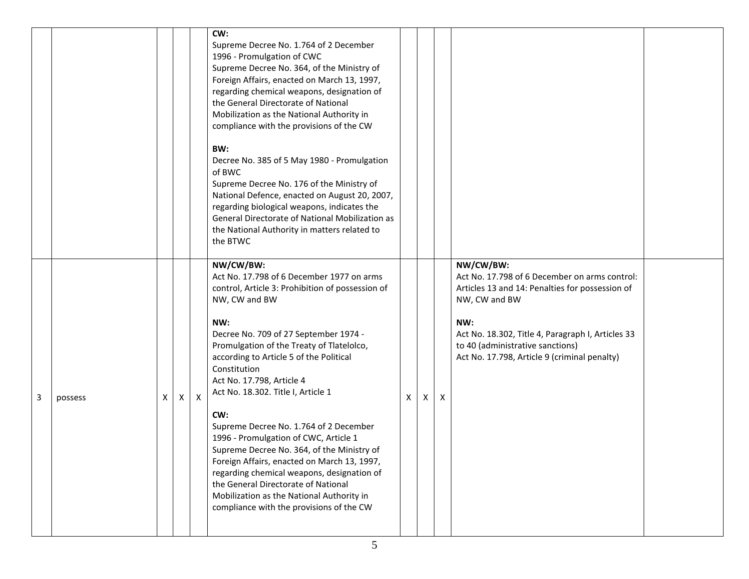|   |         |   |   |                  | CW:<br>Supreme Decree No. 1.764 of 2 December<br>1996 - Promulgation of CWC<br>Supreme Decree No. 364, of the Ministry of<br>Foreign Affairs, enacted on March 13, 1997,<br>regarding chemical weapons, designation of<br>the General Directorate of National<br>Mobilization as the National Authority in<br>compliance with the provisions of the CW<br>BW:<br>Decree No. 385 of 5 May 1980 - Promulgation<br>of BWC<br>Supreme Decree No. 176 of the Ministry of<br>National Defence, enacted on August 20, 2007,<br>regarding biological weapons, indicates the<br>General Directorate of National Mobilization as<br>the National Authority in matters related to<br>the BTWC                                          |   |   |   |                                                                                                                                                                                                                                                                                |  |
|---|---------|---|---|------------------|-----------------------------------------------------------------------------------------------------------------------------------------------------------------------------------------------------------------------------------------------------------------------------------------------------------------------------------------------------------------------------------------------------------------------------------------------------------------------------------------------------------------------------------------------------------------------------------------------------------------------------------------------------------------------------------------------------------------------------|---|---|---|--------------------------------------------------------------------------------------------------------------------------------------------------------------------------------------------------------------------------------------------------------------------------------|--|
| 3 | possess | Χ | X | $\boldsymbol{X}$ | NW/CW/BW:<br>Act No. 17.798 of 6 December 1977 on arms<br>control, Article 3: Prohibition of possession of<br>NW, CW and BW<br>NW:<br>Decree No. 709 of 27 September 1974 -<br>Promulgation of the Treaty of Tlatelolco,<br>according to Article 5 of the Political<br>Constitution<br>Act No. 17.798, Article 4<br>Act No. 18.302. Title I, Article 1<br>CW:<br>Supreme Decree No. 1.764 of 2 December<br>1996 - Promulgation of CWC, Article 1<br>Supreme Decree No. 364, of the Ministry of<br>Foreign Affairs, enacted on March 13, 1997,<br>regarding chemical weapons, designation of<br>the General Directorate of National<br>Mobilization as the National Authority in<br>compliance with the provisions of the CW | X | x | X | NW/CW/BW:<br>Act No. 17.798 of 6 December on arms control:<br>Articles 13 and 14: Penalties for possession of<br>NW, CW and BW<br>NW:<br>Act No. 18.302, Title 4, Paragraph I, Articles 33<br>to 40 (administrative sanctions)<br>Act No. 17.798, Article 9 (criminal penalty) |  |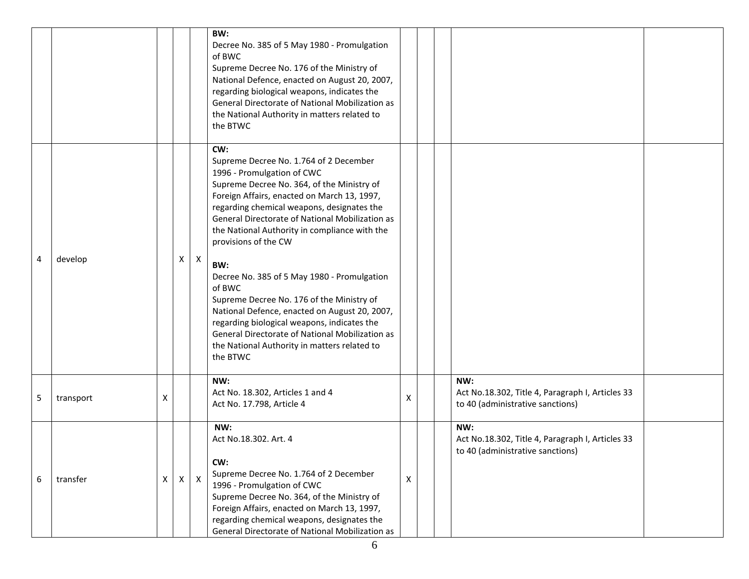|   |           |          |              |              | BW:<br>Decree No. 385 of 5 May 1980 - Promulgation<br>of BWC<br>Supreme Decree No. 176 of the Ministry of<br>National Defence, enacted on August 20, 2007,<br>regarding biological weapons, indicates the<br>General Directorate of National Mobilization as<br>the National Authority in matters related to<br>the BTWC                                                                                                                                                                                                                                                                                                                                                       |              |                                                                                             |  |
|---|-----------|----------|--------------|--------------|--------------------------------------------------------------------------------------------------------------------------------------------------------------------------------------------------------------------------------------------------------------------------------------------------------------------------------------------------------------------------------------------------------------------------------------------------------------------------------------------------------------------------------------------------------------------------------------------------------------------------------------------------------------------------------|--------------|---------------------------------------------------------------------------------------------|--|
| 4 | develop   |          | X            | $\mathsf{X}$ | CW:<br>Supreme Decree No. 1.764 of 2 December<br>1996 - Promulgation of CWC<br>Supreme Decree No. 364, of the Ministry of<br>Foreign Affairs, enacted on March 13, 1997,<br>regarding chemical weapons, designates the<br>General Directorate of National Mobilization as<br>the National Authority in compliance with the<br>provisions of the CW<br>BW:<br>Decree No. 385 of 5 May 1980 - Promulgation<br>of BWC<br>Supreme Decree No. 176 of the Ministry of<br>National Defence, enacted on August 20, 2007,<br>regarding biological weapons, indicates the<br>General Directorate of National Mobilization as<br>the National Authority in matters related to<br>the BTWC |              |                                                                                             |  |
| 5 | transport | х        |              |              | NW:<br>Act No. 18.302, Articles 1 and 4<br>Act No. 17.798, Article 4                                                                                                                                                                                                                                                                                                                                                                                                                                                                                                                                                                                                           | X            | NW:<br>Act No.18.302, Title 4, Paragraph I, Articles 33<br>to 40 (administrative sanctions) |  |
| 6 | transfer  | $\times$ | $\mathsf{X}$ | $\mathsf{X}$ | NW:<br>Act No.18.302. Art. 4<br>CW:<br>Supreme Decree No. 1.764 of 2 December<br>1996 - Promulgation of CWC<br>Supreme Decree No. 364, of the Ministry of<br>Foreign Affairs, enacted on March 13, 1997,<br>regarding chemical weapons, designates the<br>General Directorate of National Mobilization as                                                                                                                                                                                                                                                                                                                                                                      | $\mathsf{x}$ | NW:<br>Act No.18.302, Title 4, Paragraph I, Articles 33<br>to 40 (administrative sanctions) |  |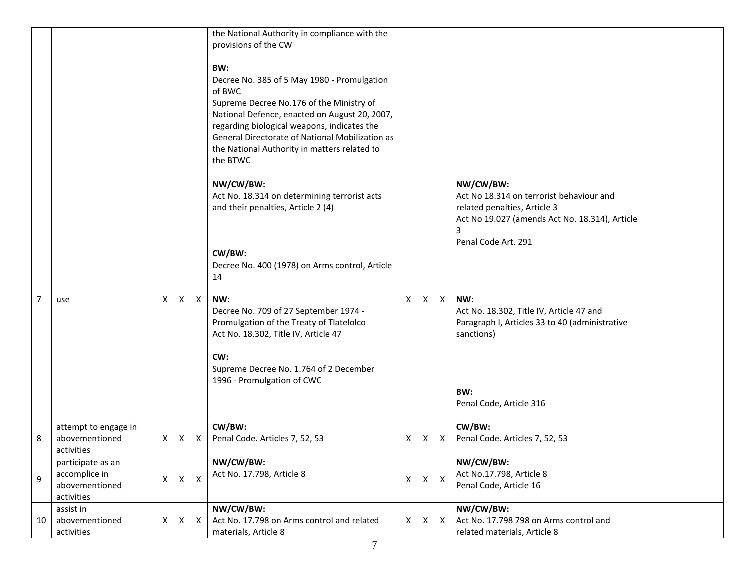|    |                                                                    |   |              |                           | the National Authority in compliance with the<br>provisions of the CW<br>BW:<br>Decree No. 385 of 5 May 1980 - Promulgation<br>of BWC<br>Supreme Decree No.176 of the Ministry of<br>National Defence, enacted on August 20, 2007,<br>regarding biological weapons, indicates the<br>General Directorate of National Mobilization as<br>the National Authority in matters related to<br>the BTWC |   |   |                           |                                                                                                                                                                                                                        |
|----|--------------------------------------------------------------------|---|--------------|---------------------------|--------------------------------------------------------------------------------------------------------------------------------------------------------------------------------------------------------------------------------------------------------------------------------------------------------------------------------------------------------------------------------------------------|---|---|---------------------------|------------------------------------------------------------------------------------------------------------------------------------------------------------------------------------------------------------------------|
| 7  | use                                                                | X | Χ            | $\mathsf{X}$              | NW/CW/BW:<br>Act No. 18.314 on determining terrorist acts<br>and their penalties, Article 2 (4)<br>CW/BW:<br>Decree No. 400 (1978) on Arms control, Article<br>14<br>NW:<br>Decree No. 709 of 27 September 1974 -                                                                                                                                                                                | X | Χ | Χ                         | NW/CW/BW:<br>Act No 18.314 on terrorist behaviour and<br>related penalties, Article 3<br>Act No 19.027 (amends Act No. 18.314), Article<br>3<br>Penal Code Art. 291<br>NW:<br>Act No. 18.302, Title IV, Article 47 and |
|    |                                                                    |   |              |                           | Promulgation of the Treaty of Tlatelolco<br>Act No. 18.302, Title IV, Article 47<br>CW:<br>Supreme Decree No. 1.764 of 2 December<br>1996 - Promulgation of CWC                                                                                                                                                                                                                                  |   |   |                           | Paragraph I, Articles 33 to 40 (administrative<br>sanctions)<br>BW:<br>Penal Code, Article 316                                                                                                                         |
| 8  | attempt to engage in<br>abovementioned<br>activities               | X | X            | $\boldsymbol{\mathsf{X}}$ | CW/BW:<br>Penal Code. Articles 7, 52, 53                                                                                                                                                                                                                                                                                                                                                         | Χ | X | $\mathsf{X}$              | CW/BW:<br>Penal Code. Articles 7, 52, 53                                                                                                                                                                               |
| 9  | participate as an<br>accomplice in<br>abovementioned<br>activities | X | $\mathsf{X}$ | X                         | NW/CW/BW:<br>Act No. 17.798, Article 8                                                                                                                                                                                                                                                                                                                                                           | X | X | $\boldsymbol{\mathsf{X}}$ | NW/CW/BW:<br>Act No.17.798, Article 8<br>Penal Code, Article 16                                                                                                                                                        |
| 10 | assist in<br>abovementioned<br>activities                          | X | X            | Χ                         | NW/CW/BW:<br>Act No. 17.798 on Arms control and related<br>materials, Article 8                                                                                                                                                                                                                                                                                                                  | X | X | X                         | NW/CW/BW:<br>Act No. 17.798 798 on Arms control and<br>related materials, Article 8                                                                                                                                    |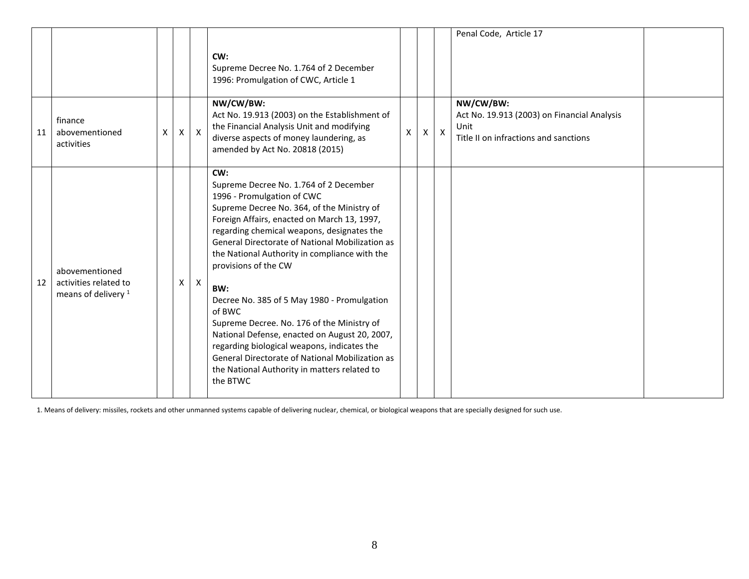|    |                                                                           |   |   |              |                                                                                                                                                                                                                                                                                                                                                                                                                                                                                                                                                                                                                                                                                 |   |                |              | Penal Code, Article 17                                                                                    |  |
|----|---------------------------------------------------------------------------|---|---|--------------|---------------------------------------------------------------------------------------------------------------------------------------------------------------------------------------------------------------------------------------------------------------------------------------------------------------------------------------------------------------------------------------------------------------------------------------------------------------------------------------------------------------------------------------------------------------------------------------------------------------------------------------------------------------------------------|---|----------------|--------------|-----------------------------------------------------------------------------------------------------------|--|
|    |                                                                           |   |   |              | CW:<br>Supreme Decree No. 1.764 of 2 December<br>1996: Promulgation of CWC, Article 1                                                                                                                                                                                                                                                                                                                                                                                                                                                                                                                                                                                           |   |                |              |                                                                                                           |  |
| 11 | finance<br>abovementioned<br>activities                                   | X | X | $\mathsf{X}$ | NW/CW/BW:<br>Act No. 19.913 (2003) on the Establishment of<br>the Financial Analysis Unit and modifying<br>diverse aspects of money laundering, as<br>amended by Act No. 20818 (2015)                                                                                                                                                                                                                                                                                                                                                                                                                                                                                           | X | $\mathsf{X}^-$ | $\mathbf{X}$ | NW/CW/BW:<br>Act No. 19.913 (2003) on Financial Analysis<br>Unit<br>Title II on infractions and sanctions |  |
| 12 | abovementioned<br>activities related to<br>means of delivery <sup>1</sup> |   | X | $\mathsf{X}$ | CW:<br>Supreme Decree No. 1.764 of 2 December<br>1996 - Promulgation of CWC<br>Supreme Decree No. 364, of the Ministry of<br>Foreign Affairs, enacted on March 13, 1997,<br>regarding chemical weapons, designates the<br>General Directorate of National Mobilization as<br>the National Authority in compliance with the<br>provisions of the CW<br>BW:<br>Decree No. 385 of 5 May 1980 - Promulgation<br>of BWC<br>Supreme Decree. No. 176 of the Ministry of<br>National Defense, enacted on August 20, 2007,<br>regarding biological weapons, indicates the<br>General Directorate of National Mobilization as<br>the National Authority in matters related to<br>the BTWC |   |                |              |                                                                                                           |  |

1. Means of delivery: missiles, rockets and other unmanned systems capable of delivering nuclear, chemical, or biological weapons that are specially designed for such use.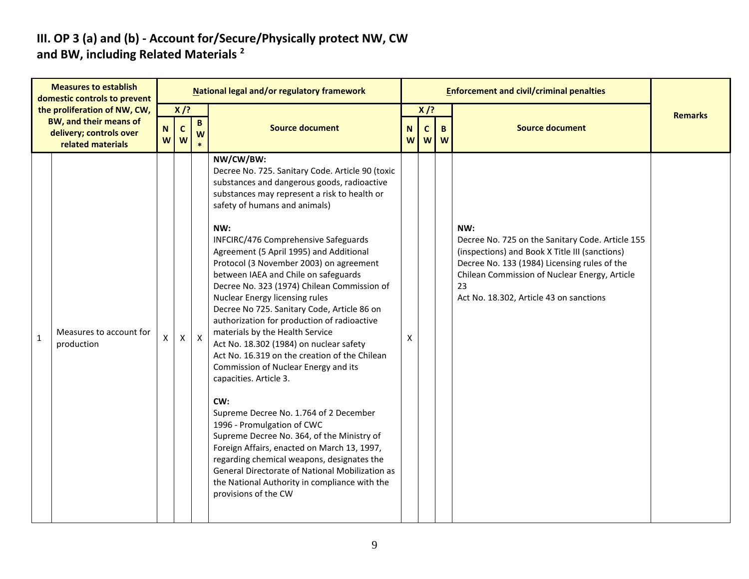#### **III. OP 3 (a) and (b) - Account for/Secure/Physically protect NW, CW and BW, including Related Materials <sup>2</sup>**

|              | <b>Measures to establish</b><br>domestic controls to prevent                                                  |                  |                             |                  | National legal and/or regulatory framework                                                                                                                                                                                                                                                                                                                                                                                                                                                                                                                                                                                                                                                                                                                                                                                                                                                                                                                                                                                                                                                                       |                  |                            |         | <b>Enforcement and civil/criminal penalties</b>                                                                                                                                                                                                             |                |
|--------------|---------------------------------------------------------------------------------------------------------------|------------------|-----------------------------|------------------|------------------------------------------------------------------------------------------------------------------------------------------------------------------------------------------------------------------------------------------------------------------------------------------------------------------------------------------------------------------------------------------------------------------------------------------------------------------------------------------------------------------------------------------------------------------------------------------------------------------------------------------------------------------------------------------------------------------------------------------------------------------------------------------------------------------------------------------------------------------------------------------------------------------------------------------------------------------------------------------------------------------------------------------------------------------------------------------------------------------|------------------|----------------------------|---------|-------------------------------------------------------------------------------------------------------------------------------------------------------------------------------------------------------------------------------------------------------------|----------------|
|              | the proliferation of NW, CW,<br><b>BW, and their means of</b><br>delivery; controls over<br>related materials | $\mathbf N$<br>W | $X$ /?<br>$\mathbf{C}$<br>W | $\mathbf B$<br>W | <b>Source document</b>                                                                                                                                                                                                                                                                                                                                                                                                                                                                                                                                                                                                                                                                                                                                                                                                                                                                                                                                                                                                                                                                                           | $\mathbf N$<br>W | $X$ /?<br>$\mathbf c$<br>W | B.<br>W | <b>Source document</b>                                                                                                                                                                                                                                      | <b>Remarks</b> |
| $\mathbf{1}$ | Measures to account for<br>production                                                                         | X                | X                           | $\boldsymbol{X}$ | NW/CW/BW:<br>Decree No. 725. Sanitary Code. Article 90 (toxic<br>substances and dangerous goods, radioactive<br>substances may represent a risk to health or<br>safety of humans and animals)<br>NW:<br>INFCIRC/476 Comprehensive Safeguards<br>Agreement (5 April 1995) and Additional<br>Protocol (3 November 2003) on agreement<br>between IAEA and Chile on safeguards<br>Decree No. 323 (1974) Chilean Commission of<br>Nuclear Energy licensing rules<br>Decree No 725. Sanitary Code, Article 86 on<br>authorization for production of radioactive<br>materials by the Health Service<br>Act No. 18.302 (1984) on nuclear safety<br>Act No. 16.319 on the creation of the Chilean<br>Commission of Nuclear Energy and its<br>capacities. Article 3.<br>CW:<br>Supreme Decree No. 1.764 of 2 December<br>1996 - Promulgation of CWC<br>Supreme Decree No. 364, of the Ministry of<br>Foreign Affairs, enacted on March 13, 1997,<br>regarding chemical weapons, designates the<br>General Directorate of National Mobilization as<br>the National Authority in compliance with the<br>provisions of the CW | X                |                            |         | NW:<br>Decree No. 725 on the Sanitary Code. Article 155<br>(inspections) and Book X Title III (sanctions)<br>Decree No. 133 (1984) Licensing rules of the<br>Chilean Commission of Nuclear Energy, Article<br>23<br>Act No. 18.302, Article 43 on sanctions |                |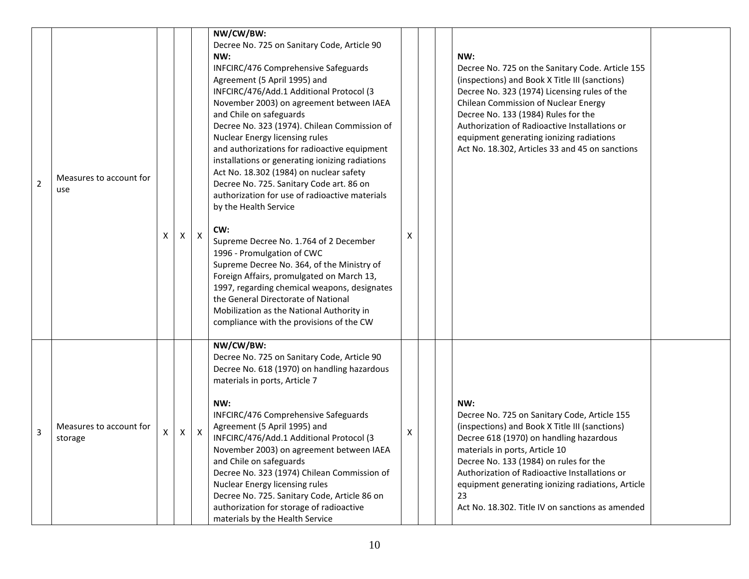| $\overline{2}$ | Measures to account for<br>use     | X | X            | X                         | NW/CW/BW:<br>Decree No. 725 on Sanitary Code, Article 90<br>NW:<br>INFCIRC/476 Comprehensive Safeguards<br>Agreement (5 April 1995) and<br>INFCIRC/476/Add.1 Additional Protocol (3<br>November 2003) on agreement between IAEA<br>and Chile on safeguards<br>Decree No. 323 (1974). Chilean Commission of<br><b>Nuclear Energy licensing rules</b><br>and authorizations for radioactive equipment<br>installations or generating ionizing radiations<br>Act No. 18.302 (1984) on nuclear safety<br>Decree No. 725. Sanitary Code art. 86 on<br>authorization for use of radioactive materials<br>by the Health Service<br>CW:<br>Supreme Decree No. 1.764 of 2 December<br>1996 - Promulgation of CWC<br>Supreme Decree No. 364, of the Ministry of<br>Foreign Affairs, promulgated on March 13,<br>1997, regarding chemical weapons, designates<br>the General Directorate of National<br>Mobilization as the National Authority in | х | NW:<br>Decree No. 725 on the Sanitary Code. Article 155<br>(inspections) and Book X Title III (sanctions)<br>Decree No. 323 (1974) Licensing rules of the<br><b>Chilean Commission of Nuclear Energy</b><br>Decree No. 133 (1984) Rules for the<br>Authorization of Radioactive Installations or<br>equipment generating ionizing radiations<br>Act No. 18.302, Articles 33 and 45 on sanctions |  |
|----------------|------------------------------------|---|--------------|---------------------------|----------------------------------------------------------------------------------------------------------------------------------------------------------------------------------------------------------------------------------------------------------------------------------------------------------------------------------------------------------------------------------------------------------------------------------------------------------------------------------------------------------------------------------------------------------------------------------------------------------------------------------------------------------------------------------------------------------------------------------------------------------------------------------------------------------------------------------------------------------------------------------------------------------------------------------------|---|-------------------------------------------------------------------------------------------------------------------------------------------------------------------------------------------------------------------------------------------------------------------------------------------------------------------------------------------------------------------------------------------------|--|
| 3              | Measures to account for<br>storage | X | $\mathsf{X}$ | $\boldsymbol{\mathsf{x}}$ | compliance with the provisions of the CW<br>NW/CW/BW:<br>Decree No. 725 on Sanitary Code, Article 90<br>Decree No. 618 (1970) on handling hazardous<br>materials in ports, Article 7<br>NW:<br><b>INFCIRC/476 Comprehensive Safeguards</b><br>Agreement (5 April 1995) and<br>INFCIRC/476/Add.1 Additional Protocol (3<br>November 2003) on agreement between IAEA<br>and Chile on safeguards<br>Decree No. 323 (1974) Chilean Commission of<br><b>Nuclear Energy licensing rules</b><br>Decree No. 725. Sanitary Code, Article 86 on<br>authorization for storage of radioactive<br>materials by the Health Service                                                                                                                                                                                                                                                                                                                   | х | NW:<br>Decree No. 725 on Sanitary Code, Article 155<br>(inspections) and Book X Title III (sanctions)<br>Decree 618 (1970) on handling hazardous<br>materials in ports, Article 10<br>Decree No. 133 (1984) on rules for the<br>Authorization of Radioactive Installations or<br>equipment generating ionizing radiations, Article<br>23<br>Act No. 18.302. Title IV on sanctions as amended    |  |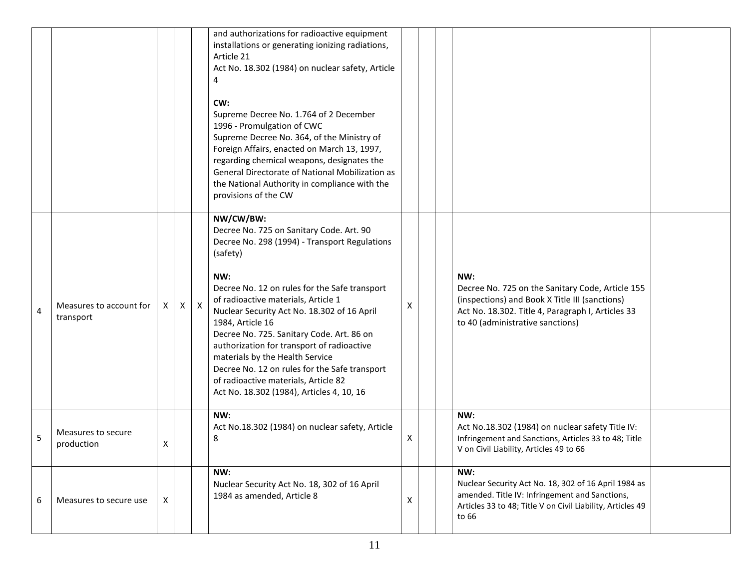|   |                                      |   |              |              | and authorizations for radioactive equipment<br>installations or generating ionizing radiations,<br>Article 21<br>Act No. 18.302 (1984) on nuclear safety, Article<br>4<br>CW:<br>Supreme Decree No. 1.764 of 2 December<br>1996 - Promulgation of CWC<br>Supreme Decree No. 364, of the Ministry of<br>Foreign Affairs, enacted on March 13, 1997,<br>regarding chemical weapons, designates the<br>General Directorate of National Mobilization as<br>the National Authority in compliance with the<br>provisions of the CW                            |   |                                                                                                                                                                                                    |  |
|---|--------------------------------------|---|--------------|--------------|----------------------------------------------------------------------------------------------------------------------------------------------------------------------------------------------------------------------------------------------------------------------------------------------------------------------------------------------------------------------------------------------------------------------------------------------------------------------------------------------------------------------------------------------------------|---|----------------------------------------------------------------------------------------------------------------------------------------------------------------------------------------------------|--|
| 4 | Measures to account for<br>transport | X | $\mathsf{X}$ | $\mathsf{X}$ | NW/CW/BW:<br>Decree No. 725 on Sanitary Code. Art. 90<br>Decree No. 298 (1994) - Transport Regulations<br>(safety)<br>NW:<br>Decree No. 12 on rules for the Safe transport<br>of radioactive materials, Article 1<br>Nuclear Security Act No. 18.302 of 16 April<br>1984, Article 16<br>Decree No. 725. Sanitary Code. Art. 86 on<br>authorization for transport of radioactive<br>materials by the Health Service<br>Decree No. 12 on rules for the Safe transport<br>of radioactive materials, Article 82<br>Act No. 18.302 (1984), Articles 4, 10, 16 | X | NW:<br>Decree No. 725 on the Sanitary Code, Article 155<br>(inspections) and Book X Title III (sanctions)<br>Act No. 18.302. Title 4, Paragraph I, Articles 33<br>to 40 (administrative sanctions) |  |
| 5 | Measures to secure<br>production     | Χ |              |              | NW:<br>Act No.18.302 (1984) on nuclear safety, Article<br>8                                                                                                                                                                                                                                                                                                                                                                                                                                                                                              | Х | NW:<br>Act No.18.302 (1984) on nuclear safety Title IV:<br>Infringement and Sanctions, Articles 33 to 48; Title<br>V on Civil Liability, Articles 49 to 66                                         |  |
| 6 | Measures to secure use               | X |              |              | NW:<br>Nuclear Security Act No. 18, 302 of 16 April<br>1984 as amended, Article 8                                                                                                                                                                                                                                                                                                                                                                                                                                                                        | X | NW:<br>Nuclear Security Act No. 18, 302 of 16 April 1984 as<br>amended. Title IV: Infringement and Sanctions,<br>Articles 33 to 48; Title V on Civil Liability, Articles 49<br>to 66               |  |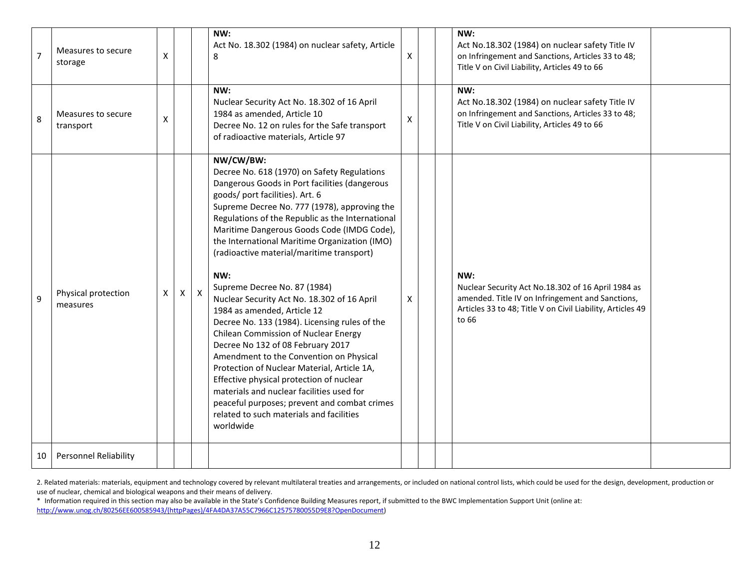| $\overline{7}$ | Measures to secure<br>storage   | X |              |              | NW:<br>Act No. 18.302 (1984) on nuclear safety, Article<br>8                                                                                                                                                                                                                                                                                                                                                                                                                                                                                                                                                                                                                                                                                                                                                                                                                                                                                | X | NW:<br>Act No.18.302 (1984) on nuclear safety Title IV<br>on Infringement and Sanctions, Articles 33 to 48;<br>Title V on Civil Liability, Articles 49 to 66                         |  |
|----------------|---------------------------------|---|--------------|--------------|---------------------------------------------------------------------------------------------------------------------------------------------------------------------------------------------------------------------------------------------------------------------------------------------------------------------------------------------------------------------------------------------------------------------------------------------------------------------------------------------------------------------------------------------------------------------------------------------------------------------------------------------------------------------------------------------------------------------------------------------------------------------------------------------------------------------------------------------------------------------------------------------------------------------------------------------|---|--------------------------------------------------------------------------------------------------------------------------------------------------------------------------------------|--|
| 8              | Measures to secure<br>transport | X |              |              | NW:<br>Nuclear Security Act No. 18.302 of 16 April<br>1984 as amended, Article 10<br>Decree No. 12 on rules for the Safe transport<br>of radioactive materials, Article 97                                                                                                                                                                                                                                                                                                                                                                                                                                                                                                                                                                                                                                                                                                                                                                  | X | NW:<br>Act No.18.302 (1984) on nuclear safety Title IV<br>on Infringement and Sanctions, Articles 33 to 48;<br>Title V on Civil Liability, Articles 49 to 66                         |  |
| 9              | Physical protection<br>measures | X | $\mathsf{x}$ | $\mathsf{X}$ | NW/CW/BW:<br>Decree No. 618 (1970) on Safety Regulations<br>Dangerous Goods in Port facilities (dangerous<br>goods/ port facilities). Art. 6<br>Supreme Decree No. 777 (1978), approving the<br>Regulations of the Republic as the International<br>Maritime Dangerous Goods Code (IMDG Code),<br>the International Maritime Organization (IMO)<br>(radioactive material/maritime transport)<br>NW:<br>Supreme Decree No. 87 (1984)<br>Nuclear Security Act No. 18.302 of 16 April<br>1984 as amended, Article 12<br>Decree No. 133 (1984). Licensing rules of the<br>Chilean Commission of Nuclear Energy<br>Decree No 132 of 08 February 2017<br>Amendment to the Convention on Physical<br>Protection of Nuclear Material, Article 1A,<br>Effective physical protection of nuclear<br>materials and nuclear facilities used for<br>peaceful purposes; prevent and combat crimes<br>related to such materials and facilities<br>worldwide | X | NW:<br>Nuclear Security Act No.18.302 of 16 April 1984 as<br>amended. Title IV on Infringement and Sanctions,<br>Articles 33 to 48; Title V on Civil Liability, Articles 49<br>to 66 |  |
| 10             | <b>Personnel Reliability</b>    |   |              |              |                                                                                                                                                                                                                                                                                                                                                                                                                                                                                                                                                                                                                                                                                                                                                                                                                                                                                                                                             |   |                                                                                                                                                                                      |  |

2. Related materials: materials, equipment and technology covered by relevant multilateral treaties and arrangements, or included on national control lists, which could be used for the design, development, production or use of nuclear, chemical and biological weapons and their means of delivery.

\* Information required in this section may also be available in the State's Confidence Building Measures report, if submitted to the BWC Implementation Support Unit (online at: [http://www.unog.ch/80256EE600585943/\(httpPages\)/4FA4DA37A55C7966C12575780055D9E8?OpenDocument\)](http://www.unog.ch/80256EE600585943/(httpPages)/4FA4DA37A55C7966C12575780055D9E8?OpenDocument)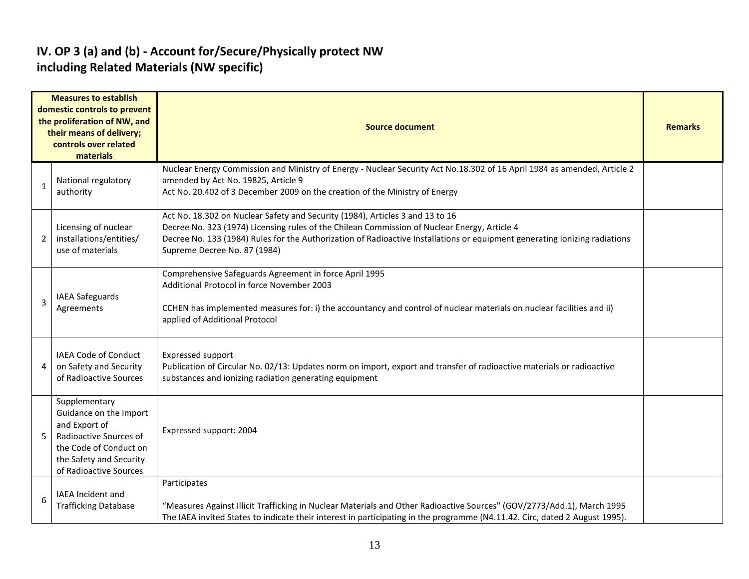#### **IV. OP 3 (a) and (b) - Account for/Secure/Physically protect NW including Related Materials (NW specific)**

| <b>Measures to establish</b><br>domestic controls to prevent<br>the proliferation of NW, and<br>their means of delivery;<br>controls over related<br>materials |                                                                                                                                                                   | <b>Source document</b>                                                                                                                                                                                                                                                                                                                      |  |  |  |  |  |
|----------------------------------------------------------------------------------------------------------------------------------------------------------------|-------------------------------------------------------------------------------------------------------------------------------------------------------------------|---------------------------------------------------------------------------------------------------------------------------------------------------------------------------------------------------------------------------------------------------------------------------------------------------------------------------------------------|--|--|--|--|--|
| 1                                                                                                                                                              | National regulatory<br>authority                                                                                                                                  | Nuclear Energy Commission and Ministry of Energy - Nuclear Security Act No.18.302 of 16 April 1984 as amended, Article 2<br>amended by Act No. 19825, Article 9<br>Act No. 20.402 of 3 December 2009 on the creation of the Ministry of Energy                                                                                              |  |  |  |  |  |
| 2                                                                                                                                                              | Licensing of nuclear<br>installations/entities/<br>use of materials                                                                                               | Act No. 18.302 on Nuclear Safety and Security (1984), Articles 3 and 13 to 16<br>Decree No. 323 (1974) Licensing rules of the Chilean Commission of Nuclear Energy, Article 4<br>Decree No. 133 (1984) Rules for the Authorization of Radioactive Installations or equipment generating ionizing radiations<br>Supreme Decree No. 87 (1984) |  |  |  |  |  |
| 3                                                                                                                                                              | <b>IAEA Safeguards</b><br>Agreements                                                                                                                              | Comprehensive Safeguards Agreement in force April 1995<br>Additional Protocol in force November 2003<br>CCHEN has implemented measures for: i) the accountancy and control of nuclear materials on nuclear facilities and ii)<br>applied of Additional Protocol                                                                             |  |  |  |  |  |
| 4                                                                                                                                                              | IAEA Code of Conduct<br>on Safety and Security<br>of Radioactive Sources                                                                                          | <b>Expressed support</b><br>Publication of Circular No. 02/13: Updates norm on import, export and transfer of radioactive materials or radioactive<br>substances and ionizing radiation generating equipment                                                                                                                                |  |  |  |  |  |
| 5                                                                                                                                                              | Supplementary<br>Guidance on the Import<br>and Export of<br>Radioactive Sources of<br>the Code of Conduct on<br>the Safety and Security<br>of Radioactive Sources | Expressed support: 2004                                                                                                                                                                                                                                                                                                                     |  |  |  |  |  |
| 6                                                                                                                                                              | IAEA Incident and<br><b>Trafficking Database</b>                                                                                                                  | Participates<br>"Measures Against Illicit Trafficking in Nuclear Materials and Other Radioactive Sources" (GOV/2773/Add.1), March 1995<br>The IAEA invited States to indicate their interest in participating in the programme (N4.11.42. Circ, dated 2 August 1995).                                                                       |  |  |  |  |  |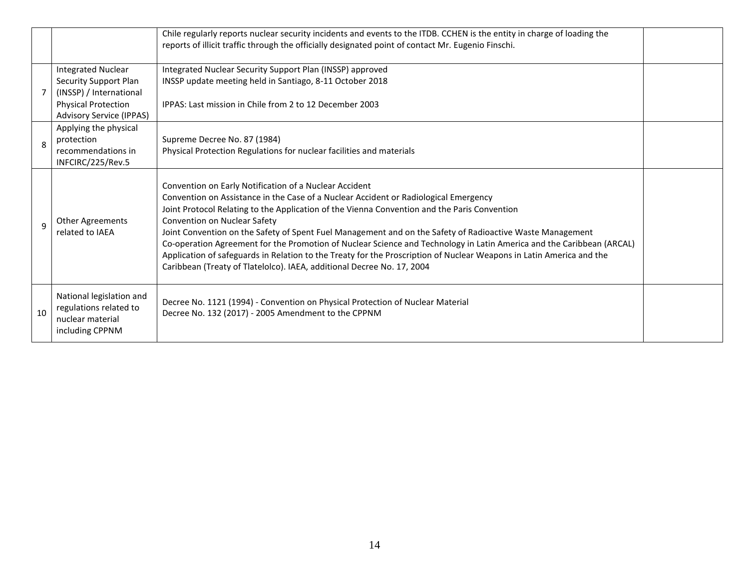|              |                                                                                                                                                | Chile regularly reports nuclear security incidents and events to the ITDB. CCHEN is the entity in charge of loading the<br>reports of illicit traffic through the officially designated point of contact Mr. Eugenio Finschi.                                                                                                                                                                                                                                                                                                                                                                                                                                                                                          |  |
|--------------|------------------------------------------------------------------------------------------------------------------------------------------------|------------------------------------------------------------------------------------------------------------------------------------------------------------------------------------------------------------------------------------------------------------------------------------------------------------------------------------------------------------------------------------------------------------------------------------------------------------------------------------------------------------------------------------------------------------------------------------------------------------------------------------------------------------------------------------------------------------------------|--|
|              | <b>Integrated Nuclear</b><br>Security Support Plan<br>(INSSP) / International<br><b>Physical Protection</b><br><b>Advisory Service (IPPAS)</b> | Integrated Nuclear Security Support Plan (INSSP) approved<br>INSSP update meeting held in Santiago, 8-11 October 2018<br>IPPAS: Last mission in Chile from 2 to 12 December 2003                                                                                                                                                                                                                                                                                                                                                                                                                                                                                                                                       |  |
| 8            | Applying the physical<br>protection<br>recommendations in<br>INFCIRC/225/Rev.5                                                                 | Supreme Decree No. 87 (1984)<br>Physical Protection Regulations for nuclear facilities and materials                                                                                                                                                                                                                                                                                                                                                                                                                                                                                                                                                                                                                   |  |
| $\mathbf{q}$ | <b>Other Agreements</b><br>related to IAEA                                                                                                     | Convention on Early Notification of a Nuclear Accident<br>Convention on Assistance in the Case of a Nuclear Accident or Radiological Emergency<br>Joint Protocol Relating to the Application of the Vienna Convention and the Paris Convention<br>Convention on Nuclear Safety<br>Joint Convention on the Safety of Spent Fuel Management and on the Safety of Radioactive Waste Management<br>Co-operation Agreement for the Promotion of Nuclear Science and Technology in Latin America and the Caribbean (ARCAL)<br>Application of safeguards in Relation to the Treaty for the Proscription of Nuclear Weapons in Latin America and the<br>Caribbean (Treaty of Tlatelolco). IAEA, additional Decree No. 17, 2004 |  |
| 10           | National legislation and<br>regulations related to<br>nuclear material<br>including CPPNM                                                      | Decree No. 1121 (1994) - Convention on Physical Protection of Nuclear Material<br>Decree No. 132 (2017) - 2005 Amendment to the CPPNM                                                                                                                                                                                                                                                                                                                                                                                                                                                                                                                                                                                  |  |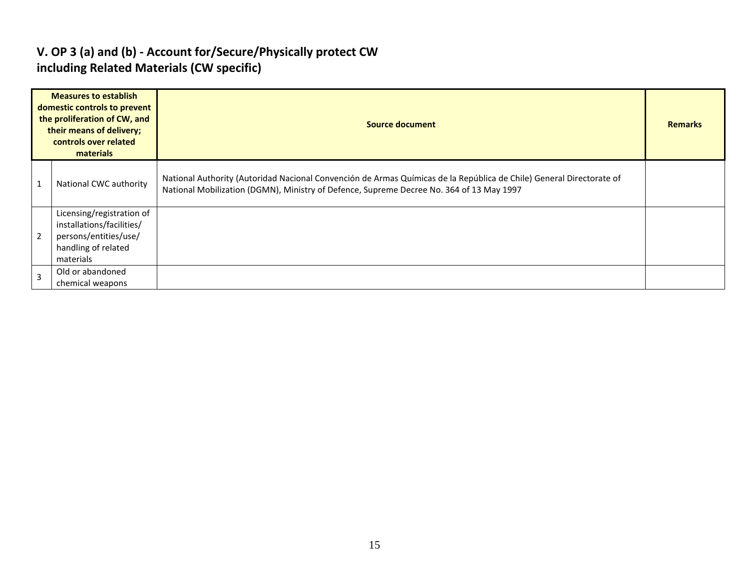#### **V. OP 3 (a) and (b) - Account for/Secure/Physically protect CW including Related Materials (CW specific)**

|                | <b>Measures to establish</b><br>domestic controls to prevent<br>the proliferation of CW, and<br>their means of delivery;<br>controls over related<br>materials | Source document                                                                                                                                                                                                  | <b>Remarks</b> |
|----------------|----------------------------------------------------------------------------------------------------------------------------------------------------------------|------------------------------------------------------------------------------------------------------------------------------------------------------------------------------------------------------------------|----------------|
|                | National CWC authority                                                                                                                                         | National Authority (Autoridad Nacional Convención de Armas Químicas de la República de Chile) General Directorate of<br>National Mobilization (DGMN), Ministry of Defence, Supreme Decree No. 364 of 13 May 1997 |                |
| $\overline{2}$ | Licensing/registration of<br>installations/facilities/<br>persons/entities/use/<br>handling of related<br>materials                                            |                                                                                                                                                                                                                  |                |
| $\overline{3}$ | Old or abandoned<br>chemical weapons                                                                                                                           |                                                                                                                                                                                                                  |                |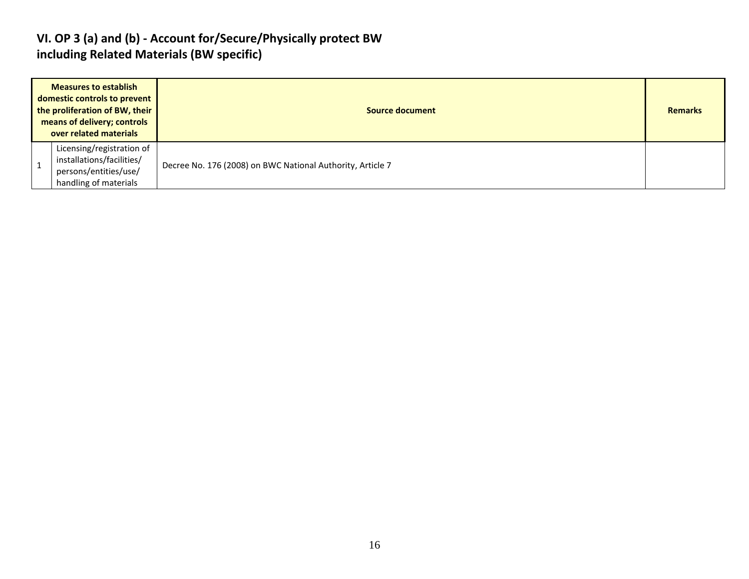#### **VI. OP 3 (a) and (b) - Account for/Secure/Physically protect BW including Related Materials (BW specific)**

| <b>Measures to establish</b><br>domestic controls to prevent<br>the proliferation of BW, their<br>means of delivery; controls<br>over related materials |                                                                                                          | Source document                                            |  |  |  |
|---------------------------------------------------------------------------------------------------------------------------------------------------------|----------------------------------------------------------------------------------------------------------|------------------------------------------------------------|--|--|--|
|                                                                                                                                                         | Licensing/registration of<br>installations/facilities/<br>persons/entities/use/<br>handling of materials | Decree No. 176 (2008) on BWC National Authority, Article 7 |  |  |  |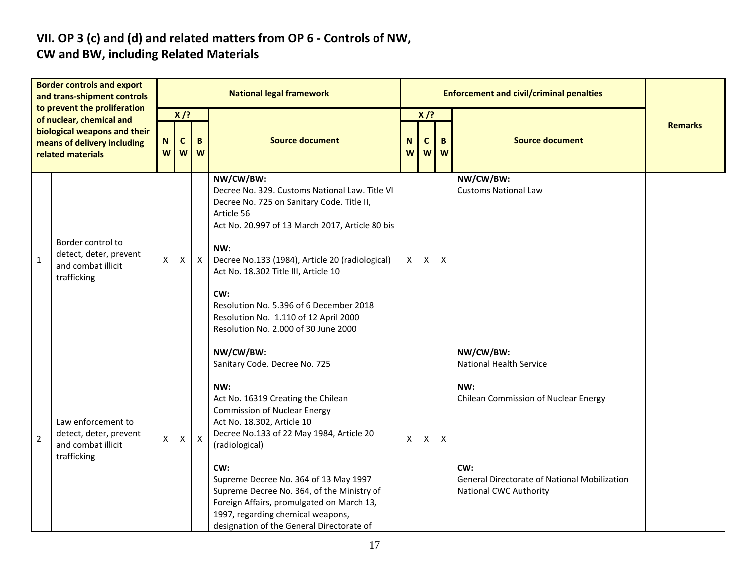# **VII. OP 3 (c) and (d) and related matters from OP 6 - Controls of NW,**

### **CW and BW, including Related Materials**

| <b>Border controls and export</b><br>and trans-shipment controls<br>to prevent the proliferation<br>of nuclear, chemical and<br>biological weapons and their<br>means of delivery including<br>related materials |                                                                                   | <b>National legal framework</b> |                            |                           |                                                                                                                                                                                                                                                                                                                                                                                                                                                         |        |              | <b>Enforcement and civil/criminal penalties</b> |                                                                                                                                                                                           |                |
|------------------------------------------------------------------------------------------------------------------------------------------------------------------------------------------------------------------|-----------------------------------------------------------------------------------|---------------------------------|----------------------------|---------------------------|---------------------------------------------------------------------------------------------------------------------------------------------------------------------------------------------------------------------------------------------------------------------------------------------------------------------------------------------------------------------------------------------------------------------------------------------------------|--------|--------------|-------------------------------------------------|-------------------------------------------------------------------------------------------------------------------------------------------------------------------------------------------|----------------|
|                                                                                                                                                                                                                  |                                                                                   | N<br>W                          | $X$ /?<br>C<br>B<br>W<br>W |                           | <b>Source document</b>                                                                                                                                                                                                                                                                                                                                                                                                                                  | N<br>W | $X$ /?<br>C  | B<br>$W$ $W$                                    | <b>Source document</b>                                                                                                                                                                    | <b>Remarks</b> |
| $\mathbf 1$                                                                                                                                                                                                      | Border control to<br>detect, deter, prevent<br>and combat illicit<br>trafficking  | X                               | $\mathsf{X}$               | $\mathsf{X}$              | NW/CW/BW:<br>Decree No. 329. Customs National Law. Title VI<br>Decree No. 725 on Sanitary Code. Title II,<br>Article 56<br>Act No. 20.997 of 13 March 2017, Article 80 bis<br>NW:<br>Decree No.133 (1984), Article 20 (radiological)<br>Act No. 18.302 Title III, Article 10<br>CW:<br>Resolution No. 5.396 of 6 December 2018<br>Resolution No. 1.110 of 12 April 2000<br>Resolution No. 2.000 of 30 June 2000                                         | X      | X            | $\boldsymbol{\mathsf{X}}$                       | NW/CW/BW:<br><b>Customs National Law</b>                                                                                                                                                  |                |
| $\overline{2}$                                                                                                                                                                                                   | Law enforcement to<br>detect, deter, prevent<br>and combat illicit<br>trafficking | X                               | $\pmb{\times}$             | $\boldsymbol{\mathsf{X}}$ | NW/CW/BW:<br>Sanitary Code. Decree No. 725<br>NW:<br>Act No. 16319 Creating the Chilean<br><b>Commission of Nuclear Energy</b><br>Act No. 18.302, Article 10<br>Decree No.133 of 22 May 1984, Article 20<br>(radiological)<br>CW:<br>Supreme Decree No. 364 of 13 May 1997<br>Supreme Decree No. 364, of the Ministry of<br>Foreign Affairs, promulgated on March 13,<br>1997, regarding chemical weapons,<br>designation of the General Directorate of | X      | $\mathsf{X}$ | $\boldsymbol{\mathsf{X}}$                       | NW/CW/BW:<br><b>National Health Service</b><br>NW:<br>Chilean Commission of Nuclear Energy<br>CW:<br><b>General Directorate of National Mobilization</b><br><b>National CWC Authority</b> |                |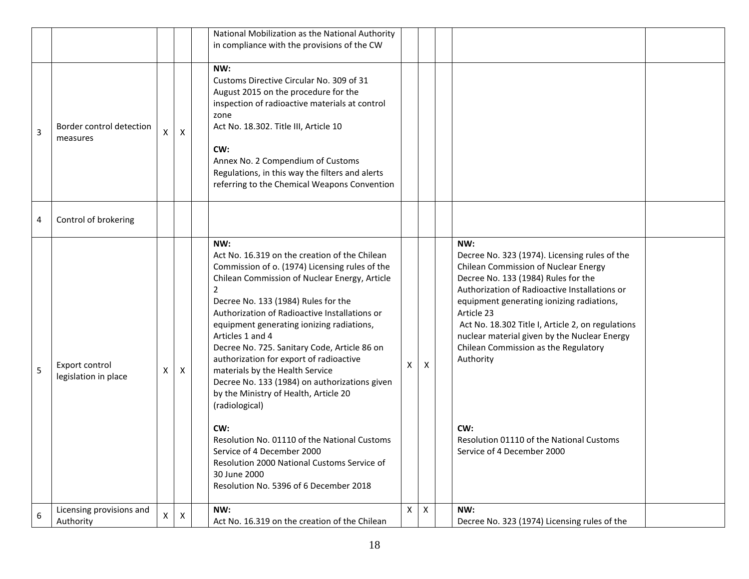|   |                                        |   |                | National Mobilization as the National Authority<br>in compliance with the provisions of the CW                                                                                                                                                                                                                                                                                                                                                                                                                                                                                                                                                                                                                                                                             |   |   |                                                                                                                                                                                                                                                                                                                                                                                                                                                                                            |
|---|----------------------------------------|---|----------------|----------------------------------------------------------------------------------------------------------------------------------------------------------------------------------------------------------------------------------------------------------------------------------------------------------------------------------------------------------------------------------------------------------------------------------------------------------------------------------------------------------------------------------------------------------------------------------------------------------------------------------------------------------------------------------------------------------------------------------------------------------------------------|---|---|--------------------------------------------------------------------------------------------------------------------------------------------------------------------------------------------------------------------------------------------------------------------------------------------------------------------------------------------------------------------------------------------------------------------------------------------------------------------------------------------|
| 3 | Border control detection<br>measures   |   | X              | NW:<br>Customs Directive Circular No. 309 of 31<br>August 2015 on the procedure for the<br>inspection of radioactive materials at control<br>zone<br>Act No. 18.302. Title III, Article 10<br>CW:<br>Annex No. 2 Compendium of Customs<br>Regulations, in this way the filters and alerts<br>referring to the Chemical Weapons Convention                                                                                                                                                                                                                                                                                                                                                                                                                                  |   |   |                                                                                                                                                                                                                                                                                                                                                                                                                                                                                            |
| 4 | Control of brokering                   |   |                |                                                                                                                                                                                                                                                                                                                                                                                                                                                                                                                                                                                                                                                                                                                                                                            |   |   |                                                                                                                                                                                                                                                                                                                                                                                                                                                                                            |
| 5 | Export control<br>legislation in place | X | X              | NW:<br>Act No. 16.319 on the creation of the Chilean<br>Commission of o. (1974) Licensing rules of the<br>Chilean Commission of Nuclear Energy, Article<br>$\overline{2}$<br>Decree No. 133 (1984) Rules for the<br>Authorization of Radioactive Installations or<br>equipment generating ionizing radiations,<br>Articles 1 and 4<br>Decree No. 725. Sanitary Code, Article 86 on<br>authorization for export of radioactive<br>materials by the Health Service<br>Decree No. 133 (1984) on authorizations given<br>by the Ministry of Health, Article 20<br>(radiological)<br>CW:<br>Resolution No. 01110 of the National Customs<br>Service of 4 December 2000<br>Resolution 2000 National Customs Service of<br>30 June 2000<br>Resolution No. 5396 of 6 December 2018 | X | X | NW:<br>Decree No. 323 (1974). Licensing rules of the<br>Chilean Commission of Nuclear Energy<br>Decree No. 133 (1984) Rules for the<br>Authorization of Radioactive Installations or<br>equipment generating ionizing radiations,<br>Article 23<br>Act No. 18.302 Title I, Article 2, on regulations<br>nuclear material given by the Nuclear Energy<br>Chilean Commission as the Regulatory<br>Authority<br>CW:<br>Resolution 01110 of the National Customs<br>Service of 4 December 2000 |
| 6 | Licensing provisions and<br>Authority  | X | $\pmb{\times}$ | NW:<br>Act No. 16.319 on the creation of the Chilean                                                                                                                                                                                                                                                                                                                                                                                                                                                                                                                                                                                                                                                                                                                       | X | X | NW:<br>Decree No. 323 (1974) Licensing rules of the                                                                                                                                                                                                                                                                                                                                                                                                                                        |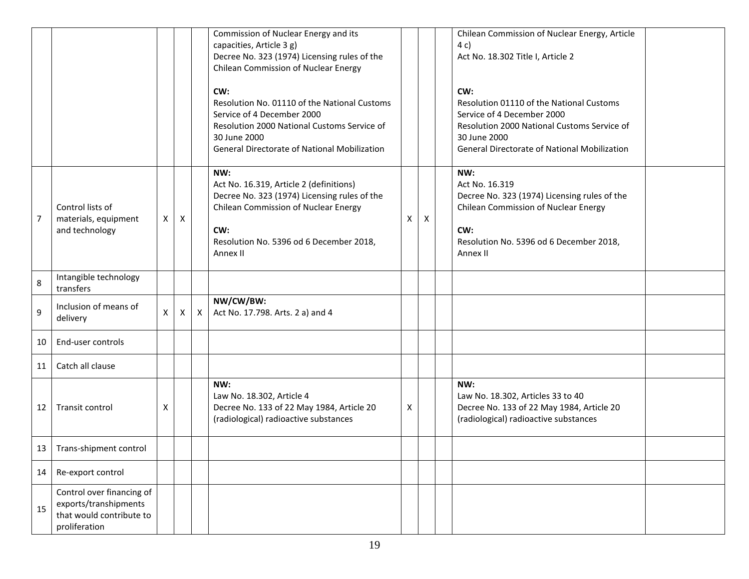|         |                                                                                                 |    |   |              | Commission of Nuclear Energy and its<br>capacities, Article 3 g)<br>Decree No. 323 (1974) Licensing rules of the<br><b>Chilean Commission of Nuclear Energy</b>                                             |   |   | Chilean Commission of Nuclear Energy, Article<br>4 c)<br>Act No. 18.302 Title I, Article 2                                                                                                   |  |
|---------|-------------------------------------------------------------------------------------------------|----|---|--------------|-------------------------------------------------------------------------------------------------------------------------------------------------------------------------------------------------------------|---|---|----------------------------------------------------------------------------------------------------------------------------------------------------------------------------------------------|--|
|         |                                                                                                 |    |   |              | CW:<br>Resolution No. 01110 of the National Customs<br>Service of 4 December 2000<br>Resolution 2000 National Customs Service of<br>30 June 2000<br>General Directorate of National Mobilization            |   |   | CW:<br>Resolution 01110 of the National Customs<br>Service of 4 December 2000<br>Resolution 2000 National Customs Service of<br>30 June 2000<br>General Directorate of National Mobilization |  |
| 7       | Control lists of<br>materials, equipment<br>and technology                                      | X. | Χ |              | NW:<br>Act No. 16.319, Article 2 (definitions)<br>Decree No. 323 (1974) Licensing rules of the<br><b>Chilean Commission of Nuclear Energy</b><br>CW:<br>Resolution No. 5396 od 6 December 2018,<br>Annex II | X | Χ | NW:<br>Act No. 16.319<br>Decree No. 323 (1974) Licensing rules of the<br><b>Chilean Commission of Nuclear Energy</b><br>CW:<br>Resolution No. 5396 od 6 December 2018,<br>Annex II           |  |
| $\,8\,$ | Intangible technology<br>transfers                                                              |    |   |              |                                                                                                                                                                                                             |   |   |                                                                                                                                                                                              |  |
| 9       | Inclusion of means of<br>delivery                                                               | X. | Χ | $\mathsf{X}$ | NW/CW/BW:<br>Act No. 17.798. Arts. 2 a) and 4                                                                                                                                                               |   |   |                                                                                                                                                                                              |  |
| 10      | End-user controls                                                                               |    |   |              |                                                                                                                                                                                                             |   |   |                                                                                                                                                                                              |  |
| 11      | Catch all clause                                                                                |    |   |              |                                                                                                                                                                                                             |   |   |                                                                                                                                                                                              |  |
| 12      | Transit control                                                                                 | X  |   |              | NW:<br>Law No. 18.302, Article 4<br>Decree No. 133 of 22 May 1984, Article 20<br>(radiological) radioactive substances                                                                                      | X |   | NW:<br>Law No. 18.302, Articles 33 to 40<br>Decree No. 133 of 22 May 1984, Article 20<br>(radiological) radioactive substances                                                               |  |
|         | 13   Trans-shipment control                                                                     |    |   |              |                                                                                                                                                                                                             |   |   |                                                                                                                                                                                              |  |
| 14      | Re-export control                                                                               |    |   |              |                                                                                                                                                                                                             |   |   |                                                                                                                                                                                              |  |
| 15      | Control over financing of<br>exports/transhipments<br>that would contribute to<br>proliferation |    |   |              |                                                                                                                                                                                                             |   |   |                                                                                                                                                                                              |  |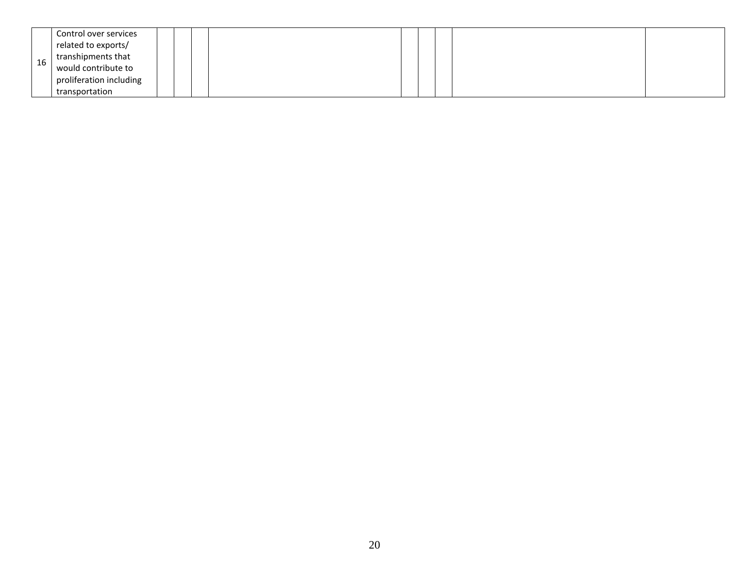|    | Control over services   |  |  |  |  |  |
|----|-------------------------|--|--|--|--|--|
|    | related to exports/     |  |  |  |  |  |
| 16 | transhipments that      |  |  |  |  |  |
|    | would contribute to     |  |  |  |  |  |
|    | proliferation including |  |  |  |  |  |
|    | transportation          |  |  |  |  |  |